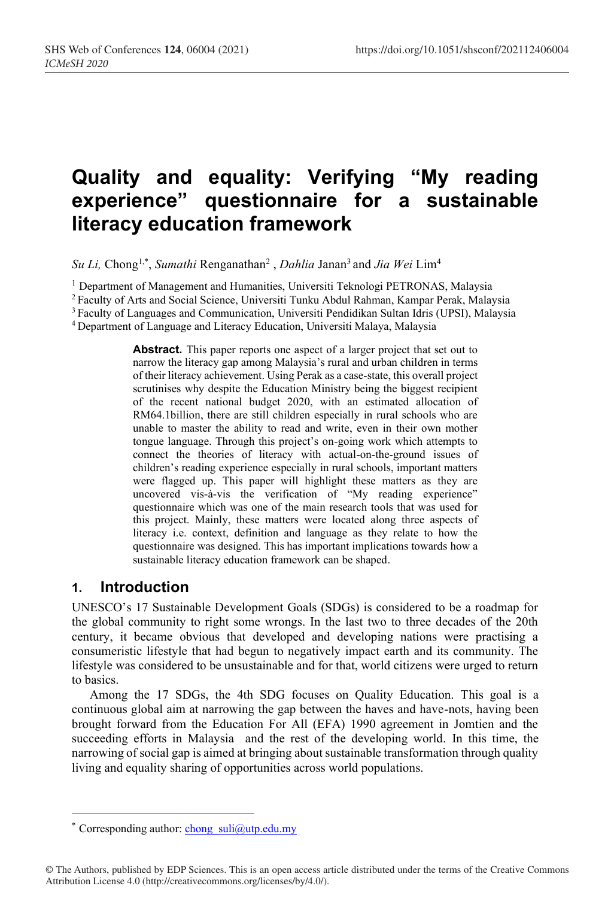# **Quality and equality: Verifying "My reading experience" questionnaire for a sustainable literacy education framework**

*Su Li,* Chong1,\* , *Sumathi* Renganathan2 , *Dahlia* Janan3 and *Jia Wei* Lim4

<sup>1</sup> Department of Management and Humanities, Universiti Teknologi PETRONAS, Malaysia

<sup>2</sup> Faculty of Arts and Social Science, Universiti Tunku Abdul Rahman, Kampar Perak, Malaysia

<sup>3</sup> Faculty of Languages and Communication, Universiti Pendidikan Sultan Idris (UPSI), Malaysia

4 Department of Language and Literacy Education, Universiti Malaya, Malaysia

**Abstract.** This paper reports one aspect of a larger project that set out to narrow the literacy gap among Malaysia's rural and urban children in terms of their literacy achievement. Using Perak as a case-state, this overall project scrutinises why despite the Education Ministry being the biggest recipient of the recent national budget 2020, with an estimated allocation of RM64.1billion, there are still children especially in rural schools who are unable to master the ability to read and write, even in their own mother tongue language. Through this project's on-going work which attempts to connect the theories of literacy with actual-on-the-ground issues of children's reading experience especially in rural schools, important matters were flagged up. This paper will highlight these matters as they are uncovered vis-à-vis the verification of "My reading experience" questionnaire which was one of the main research tools that was used for this project. Mainly, these matters were located along three aspects of literacy i.e. context, definition and language as they relate to how the questionnaire was designed. This has important implications towards how a sustainable literacy education framework can be shaped.

# **1. Introduction**

UNESCO's 17 Sustainable Development Goals (SDGs) is considered to be a roadmap for the global community to right some wrongs. In the last two to three decades of the 20th century, it became obvious that developed and developing nations were practising a consumeristic lifestyle that had begun to negatively impact earth and its community. The lifestyle was considered to be unsustainable and for that, world citizens were urged to return to basics.

Among the 17 SDGs, the 4th SDG focuses on Quality Education. This goal is a continuous global aim at narrowing the gap between the haves and have-nots, having been brought forward from the Education For All (EFA) 1990 agreement in Jomtien and the succeeding efforts in Malaysia and the rest of the developing world. In this time, the narrowing of social gap is aimed at bringing about sustainable transformation through quality living and equality sharing of opportunities across world populations.

<sup>\*</sup> Corresponding author: chong  $suli@utp.edu.my$ 

<sup>©</sup> The Authors, published by EDP Sciences. This is an open access article distributed under the terms of the Creative Commons Attribution License 4.0 (http://creativecommons.org/licenses/by/4.0/).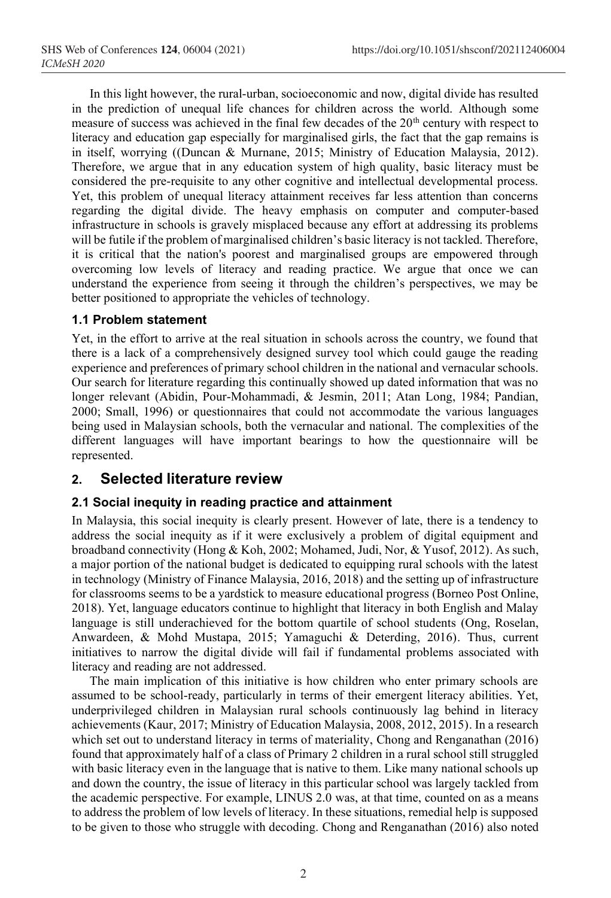In this light however, the rural-urban, socioeconomic and now, digital divide has resulted in the prediction of unequal life chances for children across the world. Although some measure of success was achieved in the final few decades of the 20<sup>th</sup> century with respect to literacy and education gap especially for marginalised girls, the fact that the gap remains is in itself, worrying ((Duncan & Murnane, 2015; Ministry of Education Malaysia, 2012). Therefore, we argue that in any education system of high quality, basic literacy must be considered the pre-requisite to any other cognitive and intellectual developmental process. Yet, this problem of unequal literacy attainment receives far less attention than concerns regarding the digital divide. The heavy emphasis on computer and computer-based infrastructure in schools is gravely misplaced because any effort at addressing its problems will be futile if the problem of marginalised children's basic literacy is not tackled. Therefore, it is critical that the nation's poorest and marginalised groups are empowered through overcoming low levels of literacy and reading practice. We argue that once we can understand the experience from seeing it through the children's perspectives, we may be better positioned to appropriate the vehicles of technology.

## **1.1 Problem statement**

Yet, in the effort to arrive at the real situation in schools across the country, we found that there is a lack of a comprehensively designed survey tool which could gauge the reading experience and preferences of primary school children in the national and vernacular schools. Our search for literature regarding this continually showed up dated information that was no longer relevant (Abidin, Pour-Mohammadi, & Jesmin, 2011; Atan Long, 1984; Pandian, 2000; Small, 1996) or questionnaires that could not accommodate the various languages being used in Malaysian schools, both the vernacular and national. The complexities of the different languages will have important bearings to how the questionnaire will be represented.

## **2. Selected literature review**

## **2.1 Social inequity in reading practice and attainment**

In Malaysia, this social inequity is clearly present. However of late, there is a tendency to address the social inequity as if it were exclusively a problem of digital equipment and broadband connectivity (Hong & Koh, 2002; Mohamed, Judi, Nor, & Yusof, 2012). As such, a major portion of the national budget is dedicated to equipping rural schools with the latest in technology (Ministry of Finance Malaysia, 2016, 2018) and the setting up of infrastructure for classrooms seems to be a yardstick to measure educational progress (Borneo Post Online, 2018). Yet, language educators continue to highlight that literacy in both English and Malay language is still underachieved for the bottom quartile of school students (Ong, Roselan, Anwardeen, & Mohd Mustapa, 2015; Yamaguchi & Deterding, 2016). Thus, current initiatives to narrow the digital divide will fail if fundamental problems associated with literacy and reading are not addressed.

The main implication of this initiative is how children who enter primary schools are assumed to be school-ready, particularly in terms of their emergent literacy abilities. Yet, underprivileged children in Malaysian rural schools continuously lag behind in literacy achievements (Kaur, 2017; Ministry of Education Malaysia, 2008, 2012, 2015). In a research which set out to understand literacy in terms of materiality, Chong and Renganathan (2016) found that approximately half of a class of Primary 2 children in a rural school still struggled with basic literacy even in the language that is native to them. Like many national schools up and down the country, the issue of literacy in this particular school was largely tackled from the academic perspective. For example, LINUS 2.0 was, at that time, counted on as a means to address the problem of low levels of literacy. In these situations, remedial help is supposed to be given to those who struggle with decoding. Chong and Renganathan (2016) also noted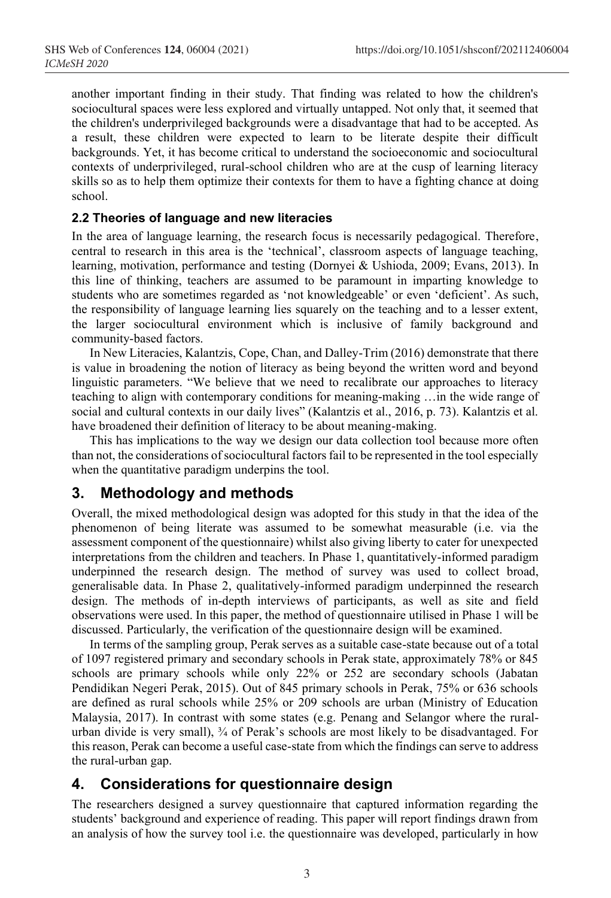another important finding in their study. That finding was related to how the children's sociocultural spaces were less explored and virtually untapped. Not only that, it seemed that the children's underprivileged backgrounds were a disadvantage that had to be accepted. As a result, these children were expected to learn to be literate despite their difficult backgrounds. Yet, it has become critical to understand the socioeconomic and sociocultural contexts of underprivileged, rural-school children who are at the cusp of learning literacy skills so as to help them optimize their contexts for them to have a fighting chance at doing school.

#### **2.2 Theories of language and new literacies**

In the area of language learning, the research focus is necessarily pedagogical. Therefore, central to research in this area is the 'technical', classroom aspects of language teaching, learning, motivation, performance and testing (Dornyei & Ushioda, 2009; Evans, 2013). In this line of thinking, teachers are assumed to be paramount in imparting knowledge to students who are sometimes regarded as 'not knowledgeable' or even 'deficient'. As such, the responsibility of language learning lies squarely on the teaching and to a lesser extent, the larger sociocultural environment which is inclusive of family background and community-based factors.

In New Literacies, Kalantzis, Cope, Chan, and Dalley-Trim (2016) demonstrate that there is value in broadening the notion of literacy as being beyond the written word and beyond linguistic parameters. "We believe that we need to recalibrate our approaches to literacy teaching to align with contemporary conditions for meaning-making …in the wide range of social and cultural contexts in our daily lives" (Kalantzis et al., 2016, p. 73). Kalantzis et al. have broadened their definition of literacy to be about meaning-making.

This has implications to the way we design our data collection tool because more often than not, the considerations of sociocultural factors fail to be represented in the tool especially when the quantitative paradigm underpins the tool.

# **3. Methodology and methods**

Overall, the mixed methodological design was adopted for this study in that the idea of the phenomenon of being literate was assumed to be somewhat measurable (i.e. via the assessment component of the questionnaire) whilst also giving liberty to cater for unexpected interpretations from the children and teachers. In Phase 1, quantitatively-informed paradigm underpinned the research design. The method of survey was used to collect broad, generalisable data. In Phase 2, qualitatively-informed paradigm underpinned the research design. The methods of in-depth interviews of participants, as well as site and field observations were used. In this paper, the method of questionnaire utilised in Phase 1 will be discussed. Particularly, the verification of the questionnaire design will be examined.

In terms of the sampling group, Perak serves as a suitable case-state because out of a total of 1097 registered primary and secondary schools in Perak state, approximately 78% or 845 schools are primary schools while only 22% or 252 are secondary schools (Jabatan Pendidikan Negeri Perak, 2015). Out of 845 primary schools in Perak, 75% or 636 schools are defined as rural schools while 25% or 209 schools are urban (Ministry of Education Malaysia, 2017). In contrast with some states (e.g. Penang and Selangor where the ruralurban divide is very small), ¾ of Perak's schools are most likely to be disadvantaged. For this reason, Perak can become a useful case-state from which the findings can serve to address the rural-urban gap.

## **4. Considerations for questionnaire design**

The researchers designed a survey questionnaire that captured information regarding the students' background and experience of reading. This paper will report findings drawn from an analysis of how the survey tool i.e. the questionnaire was developed, particularly in how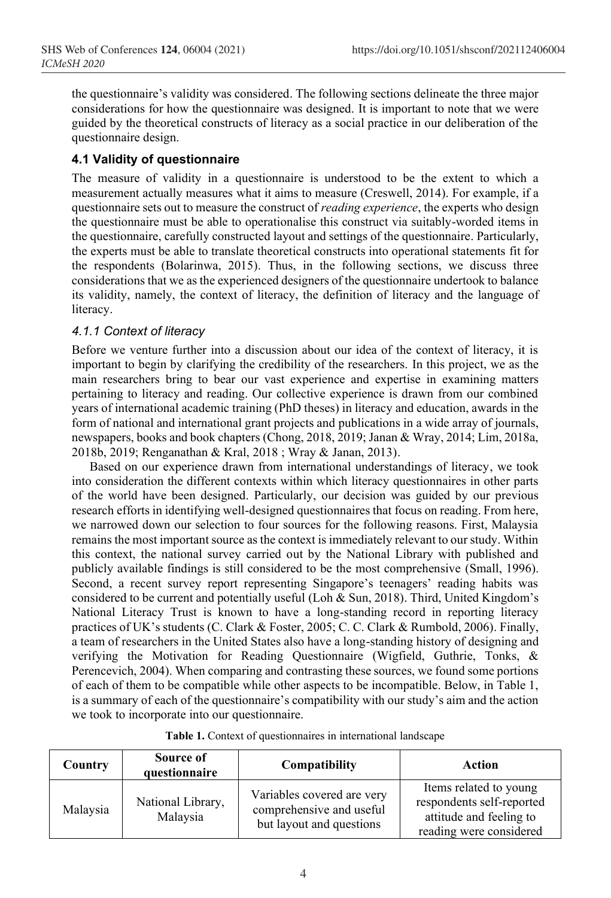the questionnaire's validity was considered. The following sections delineate the three major considerations for how the questionnaire was designed. It is important to note that we were guided by the theoretical constructs of literacy as a social practice in our deliberation of the questionnaire design.

## **4.1 Validity of questionnaire**

The measure of validity in a questionnaire is understood to be the extent to which a measurement actually measures what it aims to measure (Creswell, 2014). For example, if a questionnaire sets out to measure the construct of *reading experience*, the experts who design the questionnaire must be able to operationalise this construct via suitably-worded items in the questionnaire, carefully constructed layout and settings of the questionnaire. Particularly, the experts must be able to translate theoretical constructs into operational statements fit for the respondents (Bolarinwa, 2015). Thus, in the following sections, we discuss three considerations that we as the experienced designers of the questionnaire undertook to balance its validity, namely, the context of literacy, the definition of literacy and the language of literacy.

## *4.1.1 Context of literacy*

Before we venture further into a discussion about our idea of the context of literacy, it is important to begin by clarifying the credibility of the researchers. In this project, we as the main researchers bring to bear our vast experience and expertise in examining matters pertaining to literacy and reading. Our collective experience is drawn from our combined years of international academic training (PhD theses) in literacy and education, awards in the form of national and international grant projects and publications in a wide array of journals, newspapers, books and book chapters (Chong, 2018, 2019; Janan & Wray, 2014; Lim, 2018a, 2018b, 2019; Renganathan & Kral, 2018 ; Wray & Janan, 2013).

Based on our experience drawn from international understandings of literacy, we took into consideration the different contexts within which literacy questionnaires in other parts of the world have been designed. Particularly, our decision was guided by our previous research efforts in identifying well-designed questionnaires that focus on reading. From here, we narrowed down our selection to four sources for the following reasons. First, Malaysia remains the most important source as the context is immediately relevant to our study. Within this context, the national survey carried out by the National Library with published and publicly available findings is still considered to be the most comprehensive (Small, 1996). Second, a recent survey report representing Singapore's teenagers' reading habits was considered to be current and potentially useful (Loh & Sun, 2018). Third, United Kingdom's National Literacy Trust is known to have a long-standing record in reporting literacy practices of UK's students (C. Clark & Foster, 2005; C. C. Clark & Rumbold, 2006). Finally, a team of researchers in the United States also have a long-standing history of designing and verifying the Motivation for Reading Questionnaire (Wigfield, Guthrie, Tonks, & Perencevich, 2004). When comparing and contrasting these sources, we found some portions of each of them to be compatible while other aspects to be incompatible. Below, in Table 1, is a summary of each of the questionnaire's compatibility with our study's aim and the action we took to incorporate into our questionnaire.

|  |  | <b>Table 1.</b> Context of questionnaires in international landscape |  |
|--|--|----------------------------------------------------------------------|--|
|  |  |                                                                      |  |

| Country  | Source of<br>questionnaire    | Compatibility                                                                      | Action                                                                                                    |
|----------|-------------------------------|------------------------------------------------------------------------------------|-----------------------------------------------------------------------------------------------------------|
| Malaysia | National Library,<br>Malaysia | Variables covered are very<br>comprehensive and useful<br>but layout and questions | Items related to young<br>respondents self-reported<br>attitude and feeling to<br>reading were considered |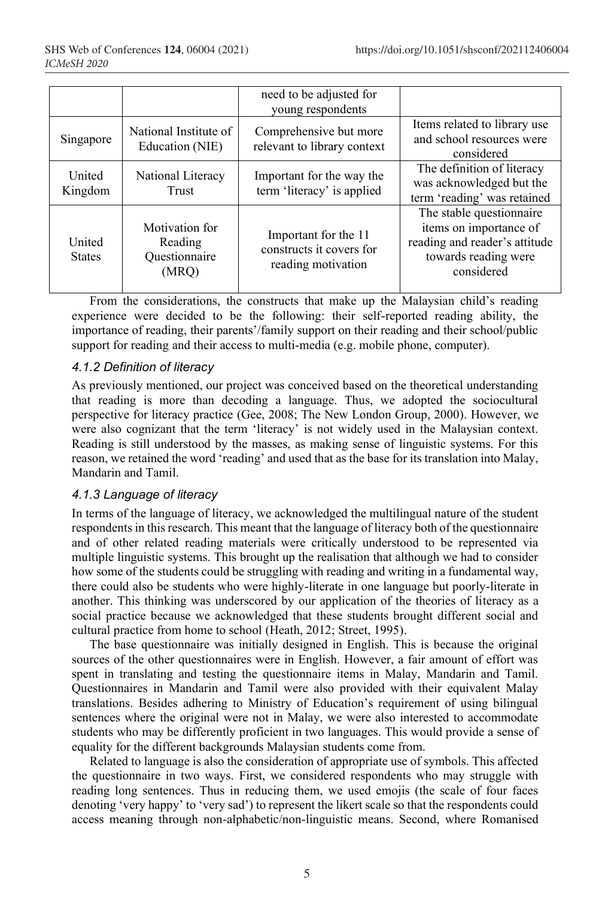|                         |                                                     | need to be adjusted for<br>young respondents                           |                                                                                                                           |  |  |  |
|-------------------------|-----------------------------------------------------|------------------------------------------------------------------------|---------------------------------------------------------------------------------------------------------------------------|--|--|--|
| Singapore               | National Institute of<br>Education (NIE)            | Comprehensive but more<br>relevant to library context                  | Items related to library use<br>and school resources were<br>considered                                                   |  |  |  |
| United<br>Kingdom       | National Literacy<br>Trust                          | Important for the way the<br>term 'literacy' is applied                | The definition of literacy<br>was acknowledged but the<br>term 'reading' was retained                                     |  |  |  |
| United<br><b>States</b> | Motivation for<br>Reading<br>Questionnaire<br>(MRQ) | Important for the 11<br>constructs it covers for<br>reading motivation | The stable questionnaire<br>items on importance of<br>reading and reader's attitude<br>towards reading were<br>considered |  |  |  |

From the considerations, the constructs that make up the Malaysian child's reading experience were decided to be the following: their self-reported reading ability, the importance of reading, their parents'/family support on their reading and their school/public support for reading and their access to multi-media (e.g. mobile phone, computer).

## *4.1.2 Definition of literacy*

As previously mentioned, our project was conceived based on the theoretical understanding that reading is more than decoding a language. Thus, we adopted the sociocultural perspective for literacy practice (Gee, 2008; The New London Group, 2000). However, we were also cognizant that the term 'literacy' is not widely used in the Malaysian context. Reading is still understood by the masses, as making sense of linguistic systems. For this reason, we retained the word 'reading' and used that as the base for its translation into Malay, Mandarin and Tamil.

## *4.1.3 Language of literacy*

In terms of the language of literacy, we acknowledged the multilingual nature of the student respondents in this research. This meant that the language of literacy both of the questionnaire and of other related reading materials were critically understood to be represented via multiple linguistic systems. This brought up the realisation that although we had to consider how some of the students could be struggling with reading and writing in a fundamental way, there could also be students who were highly-literate in one language but poorly-literate in another. This thinking was underscored by our application of the theories of literacy as a social practice because we acknowledged that these students brought different social and cultural practice from home to school (Heath, 2012; Street, 1995).

The base questionnaire was initially designed in English. This is because the original sources of the other questionnaires were in English. However, a fair amount of effort was spent in translating and testing the questionnaire items in Malay, Mandarin and Tamil. Questionnaires in Mandarin and Tamil were also provided with their equivalent Malay translations. Besides adhering to Ministry of Education's requirement of using bilingual sentences where the original were not in Malay, we were also interested to accommodate students who may be differently proficient in two languages. This would provide a sense of equality for the different backgrounds Malaysian students come from.

Related to language is also the consideration of appropriate use of symbols. This affected the questionnaire in two ways. First, we considered respondents who may struggle with reading long sentences. Thus in reducing them, we used emojis (the scale of four faces denoting 'very happy' to 'very sad') to represent the likert scale so that the respondents could access meaning through non-alphabetic/non-linguistic means. Second, where Romanised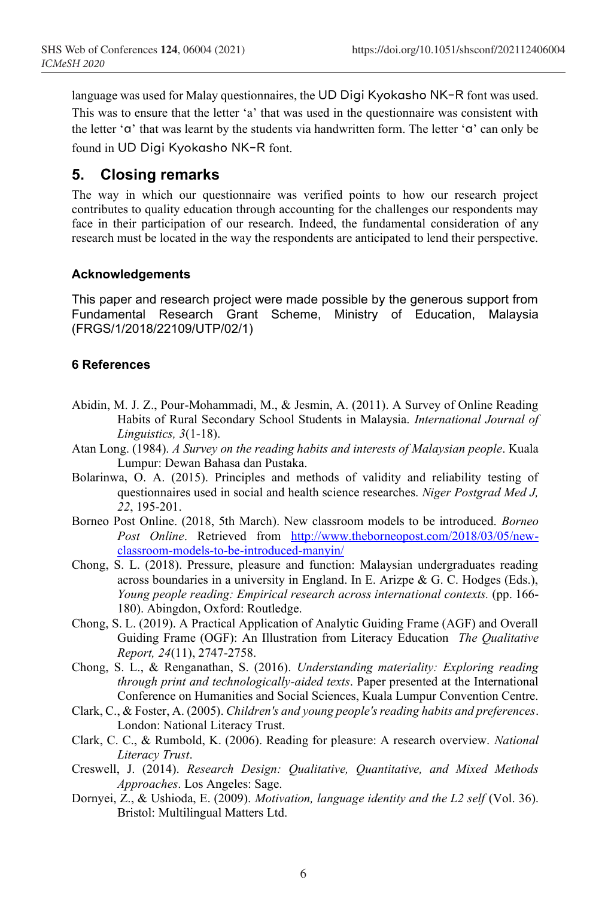language was used for Malay questionnaires, the UD Digi Kyokasho NK-R font was used. This was to ensure that the letter 'a' that was used in the questionnaire was consistent with the letter 'a' that was learnt by the students via handwritten form. The letter 'a' can only be found in UD Digi Kyokasho NK-R font.

# **5. Closing remarks**

The way in which our questionnaire was verified points to how our research project contributes to quality education through accounting for the challenges our respondents may face in their participation of our research. Indeed, the fundamental consideration of any research must be located in the way the respondents are anticipated to lend their perspective.

#### **Acknowledgements**

This paper and research project were made possible by the generous support from Fundamental Research Grant Scheme, Ministry of Education, Malaysia (FRGS/1/2018/22109/UTP/02/1)

## **6 References**

- Abidin, M. J. Z., Pour-Mohammadi, M., & Jesmin, A. (2011). A Survey of Online Reading Habits of Rural Secondary School Students in Malaysia. *International Journal of Linguistics, 3*(1-18).
- Atan Long. (1984). *A Survey on the reading habits and interests of Malaysian people*. Kuala Lumpur: Dewan Bahasa dan Pustaka.
- Bolarinwa, O. A. (2015). Principles and methods of validity and reliability testing of questionnaires used in social and health science researches. *Niger Postgrad Med J, 22*, 195-201.
- Borneo Post Online. (2018, 5th March). New classroom models to be introduced. *Borneo Post Online*. Retrieved from http://www.theborneopost.com/2018/03/05/newclassroom-models-to-be-introduced-manyin/
- Chong, S. L. (2018). Pressure, pleasure and function: Malaysian undergraduates reading across boundaries in a university in England. In E. Arizpe  $\&$  G. C. Hodges (Eds.), *Young people reading: Empirical research across international contexts.* (pp. 166- 180). Abingdon, Oxford: Routledge.
- Chong, S. L. (2019). A Practical Application of Analytic Guiding Frame (AGF) and Overall Guiding Frame (OGF): An Illustration from Literacy Education *The Qualitative Report, 24*(11), 2747-2758.
- Chong, S. L., & Renganathan, S. (2016). *Understanding materiality: Exploring reading through print and technologically-aided texts*. Paper presented at the International Conference on Humanities and Social Sciences, Kuala Lumpur Convention Centre.
- Clark, C., & Foster, A. (2005). *Children's and young people's reading habits and preferences*. London: National Literacy Trust.
- Clark, C. C., & Rumbold, K. (2006). Reading for pleasure: A research overview. *National Literacy Trust*.
- Creswell, J. (2014). *Research Design: Qualitative, Quantitative, and Mixed Methods Approaches*. Los Angeles: Sage.
- Dornyei, Z., & Ushioda, E. (2009). *Motivation, language identity and the L2 self* (Vol. 36). Bristol: Multilingual Matters Ltd.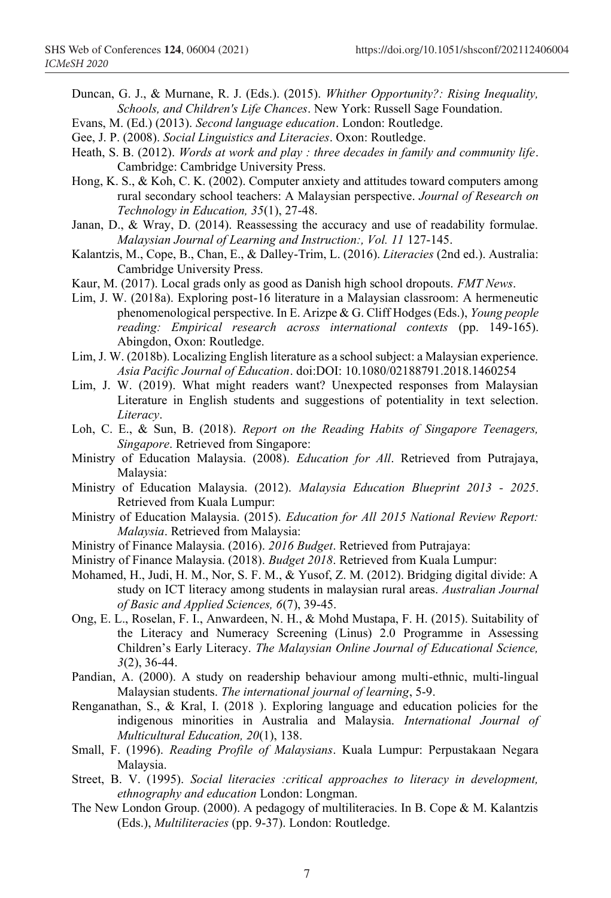Duncan, G. J., & Murnane, R. J. (Eds.). (2015). *Whither Opportunity?: Rising Inequality, Schools, and Children's Life Chances*. New York: Russell Sage Foundation.

Evans, M. (Ed.) (2013). *Second language education*. London: Routledge.

- Gee, J. P. (2008). *Social Linguistics and Literacies*. Oxon: Routledge.
- Heath, S. B. (2012). *Words at work and play : three decades in family and community life*. Cambridge: Cambridge University Press.
- Hong, K. S., & Koh, C. K. (2002). Computer anxiety and attitudes toward computers among rural secondary school teachers: A Malaysian perspective. *Journal of Research on Technology in Education, 35*(1), 27-48.
- Janan, D., & Wray, D. (2014). Reassessing the accuracy and use of readability formulae. *Malaysian Journal of Learning and Instruction:, Vol. 11* 127-145.
- Kalantzis, M., Cope, B., Chan, E., & Dalley-Trim, L. (2016). *Literacies* (2nd ed.). Australia: Cambridge University Press.
- Kaur, M. (2017). Local grads only as good as Danish high school dropouts. *FMT News*.
- Lim, J. W. (2018a). Exploring post-16 literature in a Malaysian classroom: A hermeneutic phenomenological perspective. In E. Arizpe & G. Cliff Hodges (Eds.), *Young people reading: Empirical research across international contexts* (pp. 149-165). Abingdon, Oxon: Routledge.
- Lim, J. W. (2018b). Localizing English literature as a school subject: a Malaysian experience. *Asia Pacific Journal of Education*. doi:DOI: 10.1080/02188791.2018.1460254
- Lim, J. W. (2019). What might readers want? Unexpected responses from Malaysian Literature in English students and suggestions of potentiality in text selection. *Literacy*.
- Loh, C. E., & Sun, B. (2018). *Report on the Reading Habits of Singapore Teenagers, Singapore*. Retrieved from Singapore:
- Ministry of Education Malaysia. (2008). *Education for All*. Retrieved from Putrajaya, Malaysia:
- Ministry of Education Malaysia. (2012). *Malaysia Education Blueprint 2013 - 2025*. Retrieved from Kuala Lumpur:
- Ministry of Education Malaysia. (2015). *Education for All 2015 National Review Report: Malaysia*. Retrieved from Malaysia:
- Ministry of Finance Malaysia. (2016). *2016 Budget*. Retrieved from Putrajaya:
- Ministry of Finance Malaysia. (2018). *Budget 2018*. Retrieved from Kuala Lumpur:
- Mohamed, H., Judi, H. M., Nor, S. F. M., & Yusof, Z. M. (2012). Bridging digital divide: A study on ICT literacy among students in malaysian rural areas. *Australian Journal of Basic and Applied Sciences, 6*(7), 39-45.
- Ong, E. L., Roselan, F. I., Anwardeen, N. H., & Mohd Mustapa, F. H. (2015). Suitability of the Literacy and Numeracy Screening (Linus) 2.0 Programme in Assessing Children's Early Literacy. *The Malaysian Online Journal of Educational Science, 3*(2), 36-44.
- Pandian, A. (2000). A study on readership behaviour among multi-ethnic, multi-lingual Malaysian students. *The international journal of learning*, 5-9.
- Renganathan, S., & Kral, I. (2018 ). Exploring language and education policies for the indigenous minorities in Australia and Malaysia. *International Journal of Multicultural Education, 20*(1), 138.
- Small, F. (1996). *Reading Profile of Malaysians*. Kuala Lumpur: Perpustakaan Negara Malaysia.
- Street, B. V. (1995). *Social literacies :critical approaches to literacy in development, ethnography and education* London: Longman.
- The New London Group. (2000). A pedagogy of multiliteracies. In B. Cope & M. Kalantzis (Eds.), *Multiliteracies* (pp. 9-37). London: Routledge.